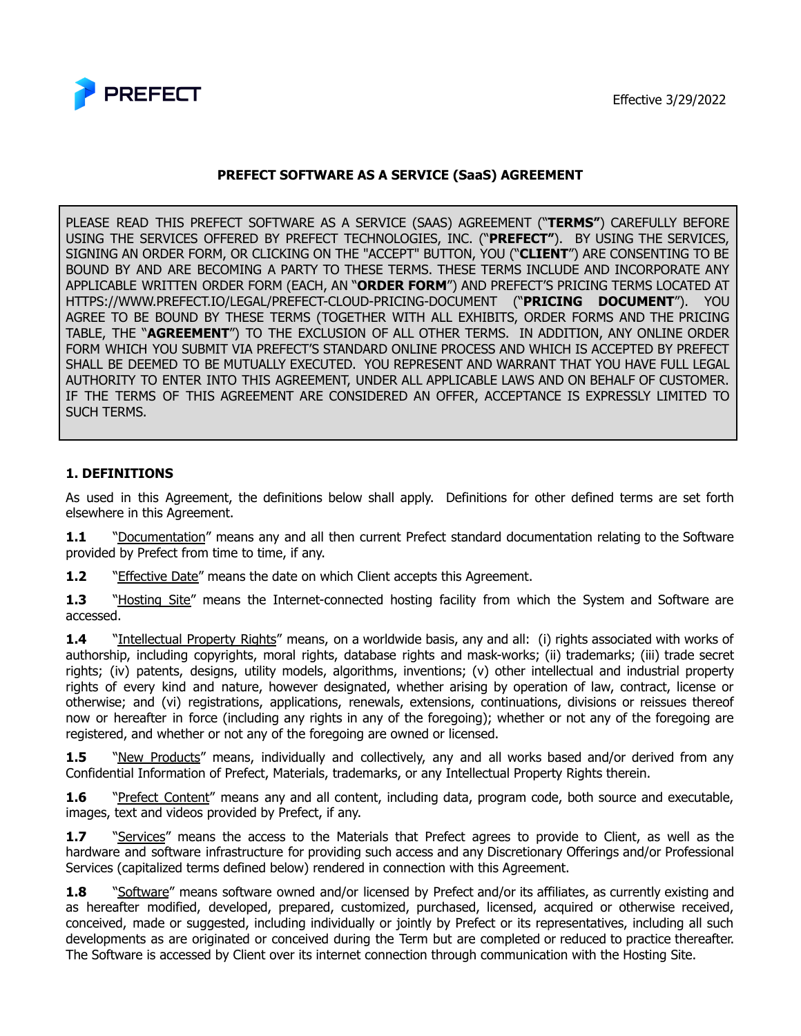



# **PREFECT SOFTWARE AS A SERVICE (SaaS) AGREEMENT**

PLEASE READ THIS PREFECT SOFTWARE AS A SERVICE (SAAS) AGREEMENT ("**TERMS"**) CAREFULLY BEFORE USING THE SERVICES OFFERED BY PREFECT TECHNOLOGIES, INC. ("**PREFECT"**). BY USING THE SERVICES, SIGNING AN ORDER FORM, OR CLICKING ON THE "ACCEPT" BUTTON, YOU ("**CLIENT**") ARE CONSENTING TO BE BOUND BY AND ARE BECOMING A PARTY TO THESE TERMS. THESE TERMS INCLUDE AND INCORPORATE ANY APPLICABLE WRITTEN ORDER FORM (EACH, AN "**ORDER FORM**") AND PREFECT'S PRICING TERMS LOCATED AT HTTPS://WWW.PREFECT.IO/LEGAL/PREFECT-CLOUD-PRICING-DOCUMENT ("**PRICING DOCUMENT**"). YOU AGREE TO BE BOUND BY THESE TERMS (TOGETHER WITH ALL EXHIBITS, ORDER FORMS AND THE PRICING TABLE, THE "**AGREEMENT**") TO THE EXCLUSION OF ALL OTHER TERMS. IN ADDITION, ANY ONLINE ORDER FORM WHICH YOU SUBMIT VIA PREFECT'S STANDARD ONLINE PROCESS AND WHICH IS ACCEPTED BY PREFECT SHALL BE DEEMED TO BE MUTUALLY EXECUTED. YOU REPRESENT AND WARRANT THAT YOU HAVE FULL LEGAL AUTHORITY TO ENTER INTO THIS AGREEMENT, UNDER ALL APPLICABLE LAWS AND ON BEHALF OF CUSTOMER. IF THE TERMS OF THIS AGREEMENT ARE CONSIDERED AN OFFER, ACCEPTANCE IS EXPRESSLY LIMITED TO SUCH TERMS.

#### **1. DEFINITIONS**

As used in this Agreement, the definitions below shall apply. Definitions for other defined terms are set forth elsewhere in this Agreement.

**1.1** "Documentation" means any and all then current Prefect standard documentation relating to the Software provided by Prefect from time to time, if any.

**1.2** "Effective Date" means the date on which Client accepts this Agreement.

**1.3** "Hosting Site" means the Internet-connected hosting facility from which the System and Software are accessed.

1.4 "Intellectual Property Rights" means, on a worldwide basis, any and all: (i) rights associated with works of authorship, including copyrights, moral rights, database rights and mask-works; (ii) trademarks; (iii) trade secret rights; (iv) patents, designs, utility models, algorithms, inventions; (v) other intellectual and industrial property rights of every kind and nature, however designated, whether arising by operation of law, contract, license or otherwise; and (vi) registrations, applications, renewals, extensions, continuations, divisions or reissues thereof now or hereafter in force (including any rights in any of the foregoing); whether or not any of the foregoing are registered, and whether or not any of the foregoing are owned or licensed.

**1.5** "New Products" means, individually and collectively, any and all works based and/or derived from any Confidential Information of Prefect, Materials, trademarks, or any Intellectual Property Rights therein.

**1.6** "Prefect Content" means any and all content, including data, program code, both source and executable, images, text and videos provided by Prefect, if any.

**1.7** "Services" means the access to the Materials that Prefect agrees to provide to Client, as well as the hardware and software infrastructure for providing such access and any Discretionary Offerings and/or Professional Services (capitalized terms defined below) rendered in connection with this Agreement.

**1.8** "Software" means software owned and/or licensed by Prefect and/or its affiliates, as currently existing and as hereafter modified, developed, prepared, customized, purchased, licensed, acquired or otherwise received, conceived, made or suggested, including individually or jointly by Prefect or its representatives, including all such developments as are originated or conceived during the Term but are completed or reduced to practice thereafter. The Software is accessed by Client over its internet connection through communication with the Hosting Site.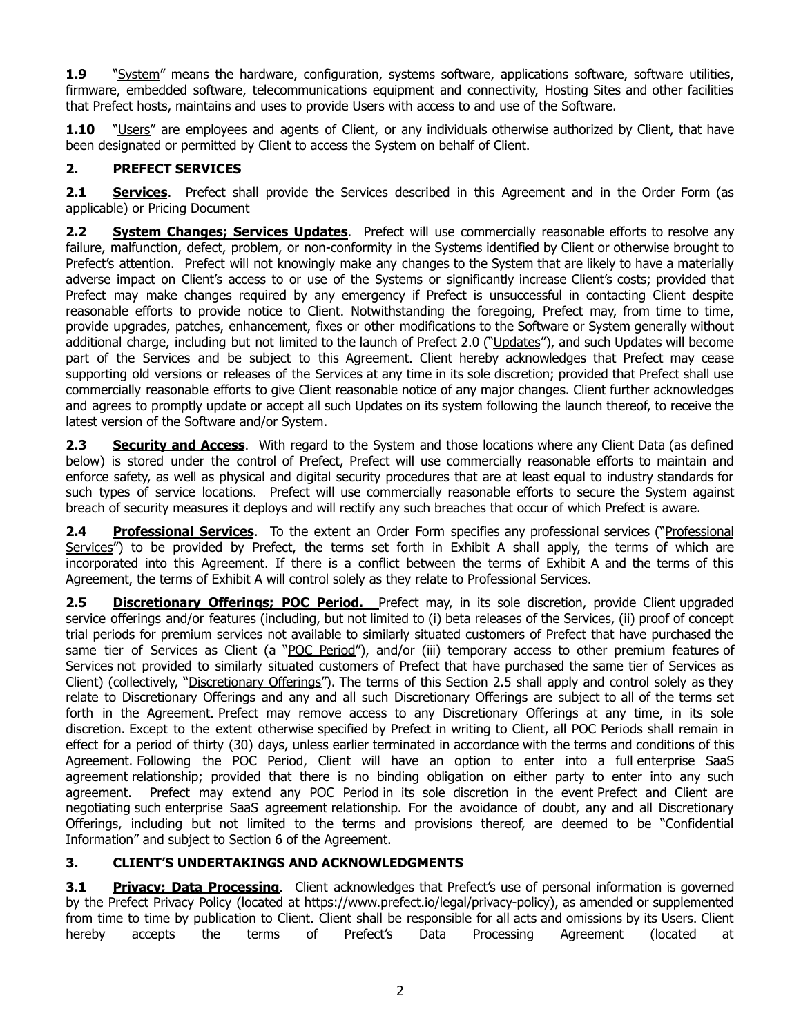**1.9** "System" means the hardware, configuration, systems software, applications software, software utilities, firmware, embedded software, telecommunications equipment and connectivity, Hosting Sites and other facilities that Prefect hosts, maintains and uses to provide Users with access to and use of the Software.

**1.10** "Users" are employees and agents of Client, or any individuals otherwise authorized by Client, that have been designated or permitted by Client to access the System on behalf of Client.

# **2. PREFECT SERVICES**

**2.1 <b>Services**. Prefect shall provide the Services described in this Agreement and in the Order Form (as applicable) or Pricing Document

**2.2 System Changes; Services Updates**. Prefect will use commercially reasonable efforts to resolve any failure, malfunction, defect, problem, or non-conformity in the Systems identified by Client or otherwise brought to Prefect's attention. Prefect will not knowingly make any changes to the System that are likely to have a materially adverse impact on Client's access to or use of the Systems or significantly increase Client's costs; provided that Prefect may make changes required by any emergency if Prefect is unsuccessful in contacting Client despite reasonable efforts to provide notice to Client. Notwithstanding the foregoing, Prefect may, from time to time, provide upgrades, patches, enhancement, fixes or other modifications to the Software or System generally without additional charge, including but not limited to the launch of Prefect 2.0 ("Updates"), and such Updates will become part of the Services and be subject to this Agreement. Client hereby acknowledges that Prefect may cease supporting old versions or releases of the Services at any time in its sole discretion; provided that Prefect shall use commercially reasonable efforts to give Client reasonable notice of any major changes. Client further acknowledges and agrees to promptly update or accept all such Updates on its system following the launch thereof, to receive the latest version of the Software and/or System.

**2.3 Security and Access**. With regard to the System and those locations where any Client Data (as defined below) is stored under the control of Prefect, Prefect will use commercially reasonable efforts to maintain and enforce safety, as well as physical and digital security procedures that are at least equal to industry standards for such types of service locations. Prefect will use commercially reasonable efforts to secure the System against breach of security measures it deploys and will rectify any such breaches that occur of which Prefect is aware.

**2.4 Professional Services**. To the extent an Order Form specifies any professional services ("Professional Services") to be provided by Prefect, the terms set forth in Exhibit A shall apply, the terms of which are incorporated into this Agreement. If there is a conflict between the terms of Exhibit A and the terms of this Agreement, the terms of Exhibit A will control solely as they relate to Professional Services.

**2.5 Discretionary Offerings; POC Period.** Prefect may, in its sole discretion, provide Client upgraded service offerings and/or features (including, but not limited to (i) beta releases of the Services, (ii) proof of concept trial periods for premium services not available to similarly situated customers of Prefect that have purchased the same tier of Services as Client (a "POC Period"), and/or (iii) temporary access to other premium features of Services not provided to similarly situated customers of Prefect that have purchased the same tier of Services as Client) (collectively, "Discretionary Offerings"). The terms of this Section 2.5 shall apply and control solely as they relate to Discretionary Offerings and any and all such Discretionary Offerings are subject to all of the terms set forth in the Agreement. Prefect may remove access to any Discretionary Offerings at any time, in its sole discretion. Except to the extent otherwise specified by Prefect in writing to Client, all POC Periods shall remain in effect for a period of thirty (30) days, unless earlier terminated in accordance with the terms and conditions of this Agreement. Following the POC Period, Client will have an option to enter into a full enterprise SaaS agreement relationship; provided that there is no binding obligation on either party to enter into any such agreement. Prefect may extend any POC Period in its sole discretion in the event Prefect and Client are negotiating such enterprise SaaS agreement relationship. For the avoidance of doubt, any and all Discretionary Offerings, including but not limited to the terms and provisions thereof, are deemed to be "Confidential Information" and subject to Section 6 of the Agreement.

## **3. CLIENT'S UNDERTAKINGS AND ACKNOWLEDGMENTS**

**3.1 Privacy; Data Processing**. Client acknowledges that Prefect's use of personal information is governed by the Prefect Privacy Policy (located at https://www.prefect.io/legal/privacy-policy), as amended or supplemented from time to time by publication to Client. Client shall be responsible for all acts and omissions by its Users. Client hereby accepts the terms of Prefect's Data Processing Agreement (located at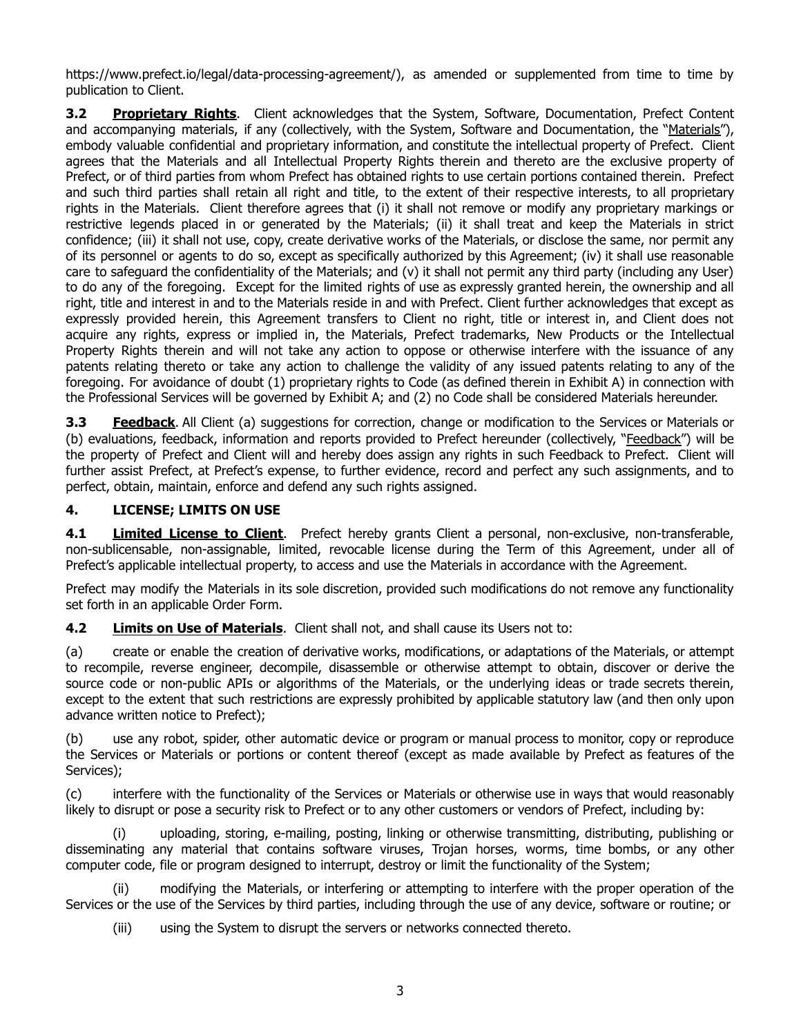https://www.prefect.io/legal/data-processing-agreement/), as amended or supplemented from time to time by publication to Client.

**3.2 Proprietary Rights**. Client acknowledges that the System, Software, Documentation, Prefect Content and accompanying materials, if any (collectively, with the System, Software and Documentation, the "Materials"), embody valuable confidential and proprietary information, and constitute the intellectual property of Prefect. Client agrees that the Materials and all Intellectual Property Rights therein and thereto are the exclusive property of Prefect, or of third parties from whom Prefect has obtained rights to use certain portions contained therein. Prefect and such third parties shall retain all right and title, to the extent of their respective interests, to all proprietary rights in the Materials. Client therefore agrees that (i) it shall not remove or modify any proprietary markings or restrictive legends placed in or generated by the Materials; (ii) it shall treat and keep the Materials in strict confidence; (iii) it shall not use, copy, create derivative works of the Materials, or disclose the same, nor permit any of its personnel or agents to do so, except as specifically authorized by this Agreement; (iv) it shall use reasonable care to safeguard the confidentiality of the Materials; and (v) it shall not permit any third party (including any User) to do any of the foregoing. Except for the limited rights of use as expressly granted herein, the ownership and all right, title and interest in and to the Materials reside in and with Prefect. Client further acknowledges that except as expressly provided herein, this Agreement transfers to Client no right, title or interest in, and Client does not acquire any rights, express or implied in, the Materials, Prefect trademarks, New Products or the Intellectual Property Rights therein and will not take any action to oppose or otherwise interfere with the issuance of any patents relating thereto or take any action to challenge the validity of any issued patents relating to any of the foregoing. For avoidance of doubt (1) proprietary rights to Code (as defined therein in Exhibit A) in connection with the Professional Services will be governed by Exhibit A; and (2) no Code shall be considered Materials hereunder.

**3.3 Feedback**. All Client (a) suggestions for correction, change or modification to the Services or Materials or (b) evaluations, feedback, information and reports provided to Prefect hereunder (collectively, "Feedback") will be the property of Prefect and Client will and hereby does assign any rights in such Feedback to Prefect. Client will further assist Prefect, at Prefect's expense, to further evidence, record and perfect any such assignments, and to perfect, obtain, maintain, enforce and defend any such rights assigned.

## **4. LICENSE; LIMITS ON USE**

**4.1 Limited License to Client**. Prefect hereby grants Client a personal, non-exclusive, non-transferable, non-sublicensable, non-assignable, limited, revocable license during the Term of this Agreement, under all of Prefect's applicable intellectual property, to access and use the Materials in accordance with the Agreement.

Prefect may modify the Materials in its sole discretion, provided such modifications do not remove any functionality set forth in an applicable Order Form.

**4.2 Limits on Use of Materials**. Client shall not, and shall cause its Users not to:

(a) create or enable the creation of derivative works, modifications, or adaptations of the Materials, or attempt to recompile, reverse engineer, decompile, disassemble or otherwise attempt to obtain, discover or derive the source code or non-public APIs or algorithms of the Materials, or the underlying ideas or trade secrets therein, except to the extent that such restrictions are expressly prohibited by applicable statutory law (and then only upon advance written notice to Prefect);

(b) use any robot, spider, other automatic device or program or manual process to monitor, copy or reproduce the Services or Materials or portions or content thereof (except as made available by Prefect as features of the Services);

(c) interfere with the functionality of the Services or Materials or otherwise use in ways that would reasonably likely to disrupt or pose a security risk to Prefect or to any other customers or vendors of Prefect, including by:

(i) uploading, storing, e-mailing, posting, linking or otherwise transmitting, distributing, publishing or disseminating any material that contains software viruses, Trojan horses, worms, time bombs, or any other computer code, file or program designed to interrupt, destroy or limit the functionality of the System;

(ii) modifying the Materials, or interfering or attempting to interfere with the proper operation of the Services or the use of the Services by third parties, including through the use of any device, software or routine; or

(iii) using the System to disrupt the servers or networks connected thereto.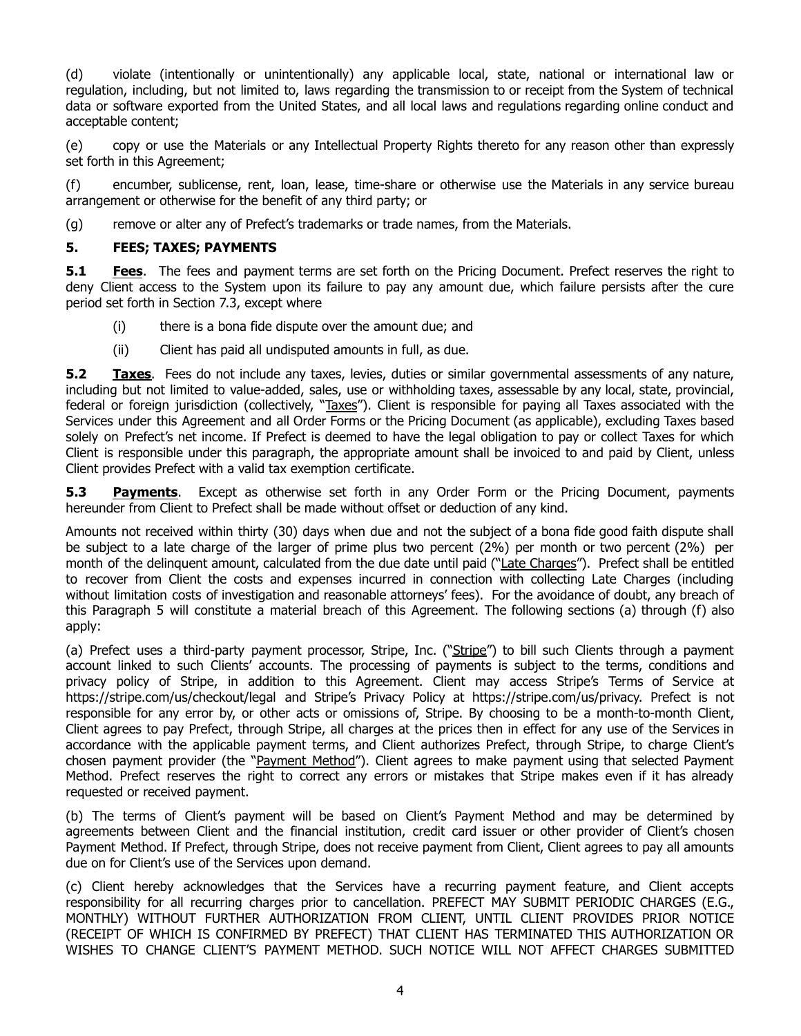(d) violate (intentionally or unintentionally) any applicable local, state, national or international law or regulation, including, but not limited to, laws regarding the transmission to or receipt from the System of technical data or software exported from the United States, and all local laws and regulations regarding online conduct and acceptable content;

(e) copy or use the Materials or any Intellectual Property Rights thereto for any reason other than expressly set forth in this Agreement;

(f) encumber, sublicense, rent, loan, lease, time-share or otherwise use the Materials in any service bureau arrangement or otherwise for the benefit of any third party; or

(g) remove or alter any of Prefect's trademarks or trade names, from the Materials.

#### **5. FEES; TAXES; PAYMENTS**

**5.1 Fees**. The fees and payment terms are set forth on the Pricing Document. Prefect reserves the right to deny Client access to the System upon its failure to pay any amount due, which failure persists after the cure period set forth in Section 7.3, except where

- (i) there is a bona fide dispute over the amount due; and
- (ii) Client has paid all undisputed amounts in full, as due.

**5.2 Taxes**. Fees do not include any taxes, levies, duties or similar governmental assessments of any nature, including but not limited to value-added, sales, use or withholding taxes, assessable by any local, state, provincial, federal or foreign jurisdiction (collectively, "Taxes"). Client is responsible for paying all Taxes associated with the Services under this Agreement and all Order Forms or the Pricing Document (as applicable), excluding Taxes based solely on Prefect's net income. If Prefect is deemed to have the legal obligation to pay or collect Taxes for which Client is responsible under this paragraph, the appropriate amount shall be invoiced to and paid by Client, unless Client provides Prefect with a valid tax exemption certificate.

**5.3 Payments**. Except as otherwise set forth in any Order Form or the Pricing Document, payments hereunder from Client to Prefect shall be made without offset or deduction of any kind.

Amounts not received within thirty (30) days when due and not the subject of a bona fide good faith dispute shall be subject to a late charge of the larger of prime plus two percent (2%) per month or two percent (2%) per month of the delinquent amount, calculated from the due date until paid ("Late Charges"). Prefect shall be entitled to recover from Client the costs and expenses incurred in connection with collecting Late Charges (including without limitation costs of investigation and reasonable attorneys' fees). For the avoidance of doubt, any breach of this Paragraph 5 will constitute a material breach of this Agreement. The following sections (a) through (f) also apply:

(a) Prefect uses a third-party payment processor, Stripe, Inc. ("Stripe") to bill such Clients through a payment account linked to such Clients' accounts. The processing of payments is subject to the terms, conditions and privacy policy of Stripe, in addition to this Agreement. Client may access Stripe's Terms of Service at https://stripe.com/us/checkout/legal and Stripe's Privacy Policy at https://stripe.com/us/privacy. Prefect is not responsible for any error by, or other acts or omissions of, Stripe. By choosing to be a month-to-month Client, Client agrees to pay Prefect, through Stripe, all charges at the prices then in effect for any use of the Services in accordance with the applicable payment terms, and Client authorizes Prefect, through Stripe, to charge Client's chosen payment provider (the "Payment Method"). Client agrees to make payment using that selected Payment Method. Prefect reserves the right to correct any errors or mistakes that Stripe makes even if it has already requested or received payment.

(b) The terms of Client's payment will be based on Client's Payment Method and may be determined by agreements between Client and the financial institution, credit card issuer or other provider of Client's chosen Payment Method. If Prefect, through Stripe, does not receive payment from Client, Client agrees to pay all amounts due on for Client's use of the Services upon demand.

(c) Client hereby acknowledges that the Services have a recurring payment feature, and Client accepts responsibility for all recurring charges prior to cancellation. PREFECT MAY SUBMIT PERIODIC CHARGES (E.G., MONTHLY) WITHOUT FURTHER AUTHORIZATION FROM CLIENT, UNTIL CLIENT PROVIDES PRIOR NOTICE (RECEIPT OF WHICH IS CONFIRMED BY PREFECT) THAT CLIENT HAS TERMINATED THIS AUTHORIZATION OR WISHES TO CHANGE CLIENT'S PAYMENT METHOD. SUCH NOTICE WILL NOT AFFECT CHARGES SUBMITTED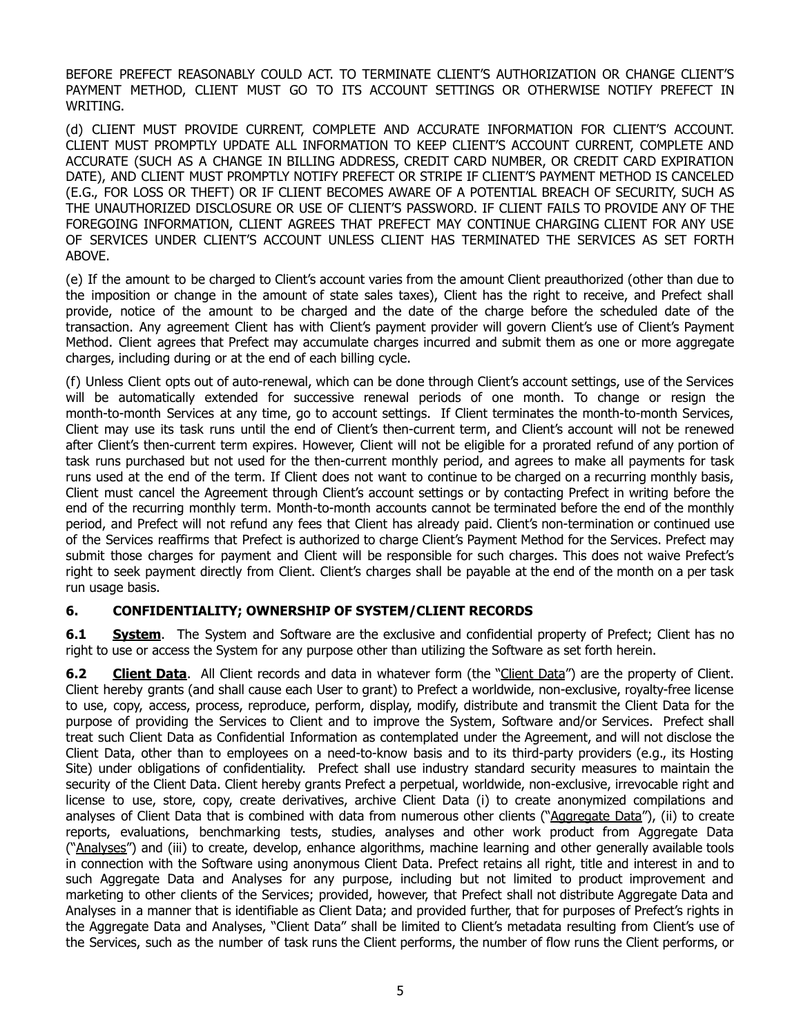BEFORE PREFECT REASONABLY COULD ACT. TO TERMINATE CLIENT'S AUTHORIZATION OR CHANGE CLIENT'S PAYMENT METHOD, CLIENT MUST GO TO ITS ACCOUNT SETTINGS OR OTHERWISE NOTIFY PREFECT IN WRITING.

(d) CLIENT MUST PROVIDE CURRENT, COMPLETE AND ACCURATE INFORMATION FOR CLIENT'S ACCOUNT. CLIENT MUST PROMPTLY UPDATE ALL INFORMATION TO KEEP CLIENT'S ACCOUNT CURRENT, COMPLETE AND ACCURATE (SUCH AS A CHANGE IN BILLING ADDRESS, CREDIT CARD NUMBER, OR CREDIT CARD EXPIRATION DATE), AND CLIENT MUST PROMPTLY NOTIFY PREFECT OR STRIPE IF CLIENT'S PAYMENT METHOD IS CANCELED (E.G., FOR LOSS OR THEFT) OR IF CLIENT BECOMES AWARE OF A POTENTIAL BREACH OF SECURITY, SUCH AS THE UNAUTHORIZED DISCLOSURE OR USE OF CLIENT'S PASSWORD. IF CLIENT FAILS TO PROVIDE ANY OF THE FOREGOING INFORMATION, CLIENT AGREES THAT PREFECT MAY CONTINUE CHARGING CLIENT FOR ANY USE OF SERVICES UNDER CLIENT'S ACCOUNT UNLESS CLIENT HAS TERMINATED THE SERVICES AS SET FORTH ABOVE.

(e) If the amount to be charged to Client's account varies from the amount Client preauthorized (other than due to the imposition or change in the amount of state sales taxes), Client has the right to receive, and Prefect shall provide, notice of the amount to be charged and the date of the charge before the scheduled date of the transaction. Any agreement Client has with Client's payment provider will govern Client's use of Client's Payment Method. Client agrees that Prefect may accumulate charges incurred and submit them as one or more aggregate charges, including during or at the end of each billing cycle.

(f) Unless Client opts out of auto-renewal, which can be done through Client's account settings, use of the Services will be automatically extended for successive renewal periods of one month. To change or resign the month-to-month Services at any time, go to account settings. If Client terminates the month-to-month Services, Client may use its task runs until the end of Client's then-current term, and Client's account will not be renewed after Client's then-current term expires. However, Client will not be eligible for a prorated refund of any portion of task runs purchased but not used for the then-current monthly period, and agrees to make all payments for task runs used at the end of the term. If Client does not want to continue to be charged on a recurring monthly basis, Client must cancel the Agreement through Client's account settings or by contacting Prefect in writing before the end of the recurring monthly term. Month-to-month accounts cannot be terminated before the end of the monthly period, and Prefect will not refund any fees that Client has already paid. Client's non-termination or continued use of the Services reaffirms that Prefect is authorized to charge Client's Payment Method for the Services. Prefect may submit those charges for payment and Client will be responsible for such charges. This does not waive Prefect's right to seek payment directly from Client. Client's charges shall be payable at the end of the month on a per task run usage basis.

## **6. CONFIDENTIALITY; OWNERSHIP OF SYSTEM/CLIENT RECORDS**

**6.1 • System.** The System and Software are the exclusive and confidential property of Prefect; Client has no right to use or access the System for any purpose other than utilizing the Software as set forth herein.

**6.2 Client Data**. All Client records and data in whatever form (the "Client Data") are the property of Client. Client hereby grants (and shall cause each User to grant) to Prefect a worldwide, non-exclusive, royalty-free license to use, copy, access, process, reproduce, perform, display, modify, distribute and transmit the Client Data for the purpose of providing the Services to Client and to improve the System, Software and/or Services. Prefect shall treat such Client Data as Confidential Information as contemplated under the Agreement, and will not disclose the Client Data, other than to employees on a need-to-know basis and to its third-party providers (e.g., its Hosting Site) under obligations of confidentiality. Prefect shall use industry standard security measures to maintain the security of the Client Data. Client hereby grants Prefect a perpetual, worldwide, non-exclusive, irrevocable right and license to use, store, copy, create derivatives, archive Client Data (i) to create anonymized compilations and analyses of Client Data that is combined with data from numerous other clients ("Aggregate Data"), (ii) to create reports, evaluations, benchmarking tests, studies, analyses and other work product from Aggregate Data ("Analyses") and (iii) to create, develop, enhance algorithms, machine learning and other generally available tools in connection with the Software using anonymous Client Data. Prefect retains all right, title and interest in and to such Aggregate Data and Analyses for any purpose, including but not limited to product improvement and marketing to other clients of the Services; provided, however, that Prefect shall not distribute Aggregate Data and Analyses in a manner that is identifiable as Client Data; and provided further, that for purposes of Prefect's rights in the Aggregate Data and Analyses, "Client Data" shall be limited to Client's metadata resulting from Client's use of the Services, such as the number of task runs the Client performs, the number of flow runs the Client performs, or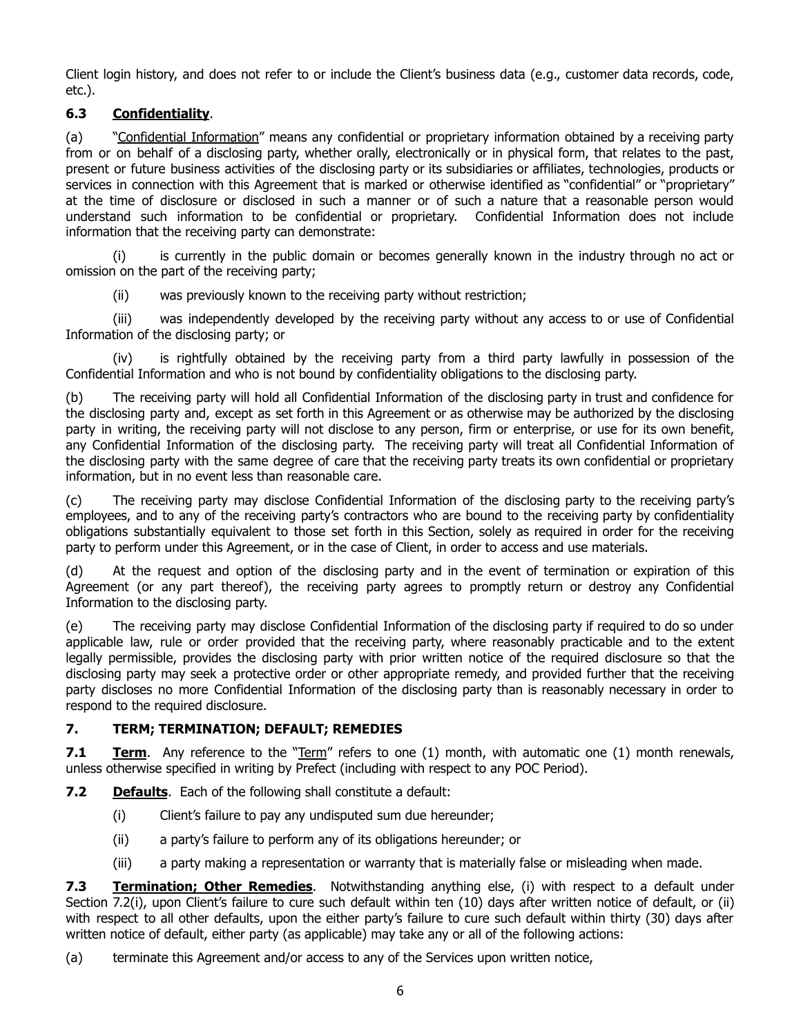Client login history, and does not refer to or include the Client's business data (e.g., customer data records, code, etc.).

# **6.3 Confidentiality**.

(a) "Confidential Information" means any confidential or proprietary information obtained by a receiving party from or on behalf of a disclosing party, whether orally, electronically or in physical form, that relates to the past, present or future business activities of the disclosing party or its subsidiaries or affiliates, technologies, products or services in connection with this Agreement that is marked or otherwise identified as "confidential" or "proprietary" at the time of disclosure or disclosed in such a manner or of such a nature that a reasonable person would understand such information to be confidential or proprietary. Confidential Information does not include information that the receiving party can demonstrate:

(i) is currently in the public domain or becomes generally known in the industry through no act or omission on the part of the receiving party;

(ii) was previously known to the receiving party without restriction;

(iii) was independently developed by the receiving party without any access to or use of Confidential Information of the disclosing party; or

(iv) is rightfully obtained by the receiving party from a third party lawfully in possession of the Confidential Information and who is not bound by confidentiality obligations to the disclosing party.

(b) The receiving party will hold all Confidential Information of the disclosing party in trust and confidence for the disclosing party and, except as set forth in this Agreement or as otherwise may be authorized by the disclosing party in writing, the receiving party will not disclose to any person, firm or enterprise, or use for its own benefit, any Confidential Information of the disclosing party. The receiving party will treat all Confidential Information of the disclosing party with the same degree of care that the receiving party treats its own confidential or proprietary information, but in no event less than reasonable care.

(c) The receiving party may disclose Confidential Information of the disclosing party to the receiving party's employees, and to any of the receiving party's contractors who are bound to the receiving party by confidentiality obligations substantially equivalent to those set forth in this Section, solely as required in order for the receiving party to perform under this Agreement, or in the case of Client, in order to access and use materials.

(d) At the request and option of the disclosing party and in the event of termination or expiration of this Agreement (or any part thereof), the receiving party agrees to promptly return or destroy any Confidential Information to the disclosing party.

(e) The receiving party may disclose Confidential Information of the disclosing party if required to do so under applicable law, rule or order provided that the receiving party, where reasonably practicable and to the extent legally permissible, provides the disclosing party with prior written notice of the required disclosure so that the disclosing party may seek a protective order or other appropriate remedy, and provided further that the receiving party discloses no more Confidential Information of the disclosing party than is reasonably necessary in order to respond to the required disclosure.

## **7. TERM; TERMINATION; DEFAULT; REMEDIES**

**7.1 <b>Term**. Any reference to the "Term" refers to one (1) month, with automatic one (1) month renewals, unless otherwise specified in writing by Prefect (including with respect to any POC Period).

**7.2 Defaults**. Each of the following shall constitute a default:

- (i) Client's failure to pay any undisputed sum due hereunder;
- (ii) a party's failure to perform any of its obligations hereunder; or
- (iii) a party making a representation or warranty that is materially false or misleading when made.

**7.3 Termination; Other Remedies**. Notwithstanding anything else, (i) with respect to a default under Section 7.2(i), upon Client's failure to cure such default within ten (10) days after written notice of default, or (ii) with respect to all other defaults, upon the either party's failure to cure such default within thirty (30) days after written notice of default, either party (as applicable) may take any or all of the following actions:

(a) terminate this Agreement and/or access to any of the Services upon written notice,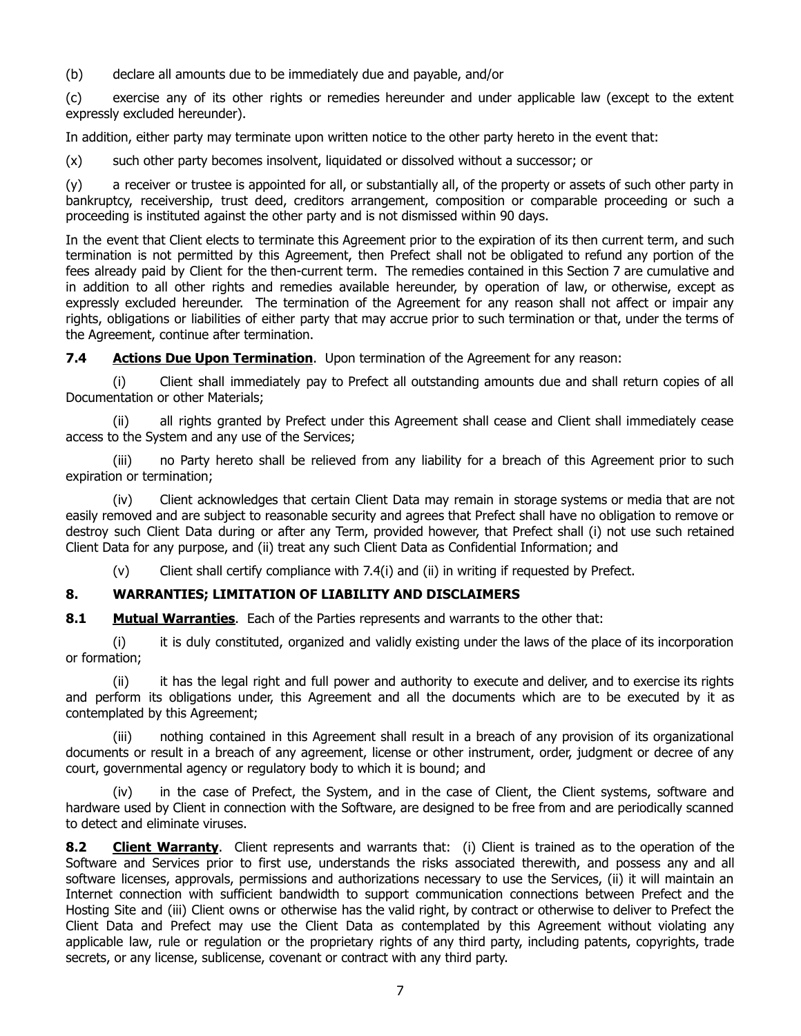(b) declare all amounts due to be immediately due and payable, and/or

(c) exercise any of its other rights or remedies hereunder and under applicable law (except to the extent expressly excluded hereunder).

In addition, either party may terminate upon written notice to the other party hereto in the event that:

(x) such other party becomes insolvent, liquidated or dissolved without a successor; or

(y) a receiver or trustee is appointed for all, or substantially all, of the property or assets of such other party in bankruptcy, receivership, trust deed, creditors arrangement, composition or comparable proceeding or such a proceeding is instituted against the other party and is not dismissed within 90 days.

In the event that Client elects to terminate this Agreement prior to the expiration of its then current term, and such termination is not permitted by this Agreement, then Prefect shall not be obligated to refund any portion of the fees already paid by Client for the then-current term. The remedies contained in this Section 7 are cumulative and in addition to all other rights and remedies available hereunder, by operation of law, or otherwise, except as expressly excluded hereunder. The termination of the Agreement for any reason shall not affect or impair any rights, obligations or liabilities of either party that may accrue prior to such termination or that, under the terms of the Agreement, continue after termination.

**7.4 Actions Due Upon Termination**. Upon termination of the Agreement for any reason:

(i) Client shall immediately pay to Prefect all outstanding amounts due and shall return copies of all Documentation or other Materials;

(ii) all rights granted by Prefect under this Agreement shall cease and Client shall immediately cease access to the System and any use of the Services;

(iii) no Party hereto shall be relieved from any liability for a breach of this Agreement prior to such expiration or termination;

(iv) Client acknowledges that certain Client Data may remain in storage systems or media that are not easily removed and are subject to reasonable security and agrees that Prefect shall have no obligation to remove or destroy such Client Data during or after any Term, provided however, that Prefect shall (i) not use such retained Client Data for any purpose, and (ii) treat any such Client Data as Confidential Information; and

(v) Client shall certify compliance with 7.4(i) and (ii) in writing if requested by Prefect.

#### **8. WARRANTIES; LIMITATION OF LIABILITY AND DISCLAIMERS**

**8.1 Mutual Warranties**. Each of the Parties represents and warrants to the other that:

(i) it is duly constituted, organized and validly existing under the laws of the place of its incorporation or formation;

(ii) it has the legal right and full power and authority to execute and deliver, and to exercise its rights and perform its obligations under, this Agreement and all the documents which are to be executed by it as contemplated by this Agreement;

(iii) nothing contained in this Agreement shall result in a breach of any provision of its organizational documents or result in a breach of any agreement, license or other instrument, order, judgment or decree of any court, governmental agency or regulatory body to which it is bound; and

(iv) in the case of Prefect, the System, and in the case of Client, the Client systems, software and hardware used by Client in connection with the Software, are designed to be free from and are periodically scanned to detect and eliminate viruses.

**8.2 Client Warranty**. Client represents and warrants that: (i) Client is trained as to the operation of the Software and Services prior to first use, understands the risks associated therewith, and possess any and all software licenses, approvals, permissions and authorizations necessary to use the Services, (ii) it will maintain an Internet connection with sufficient bandwidth to support communication connections between Prefect and the Hosting Site and (iii) Client owns or otherwise has the valid right, by contract or otherwise to deliver to Prefect the Client Data and Prefect may use the Client Data as contemplated by this Agreement without violating any applicable law, rule or regulation or the proprietary rights of any third party, including patents, copyrights, trade secrets, or any license, sublicense, covenant or contract with any third party.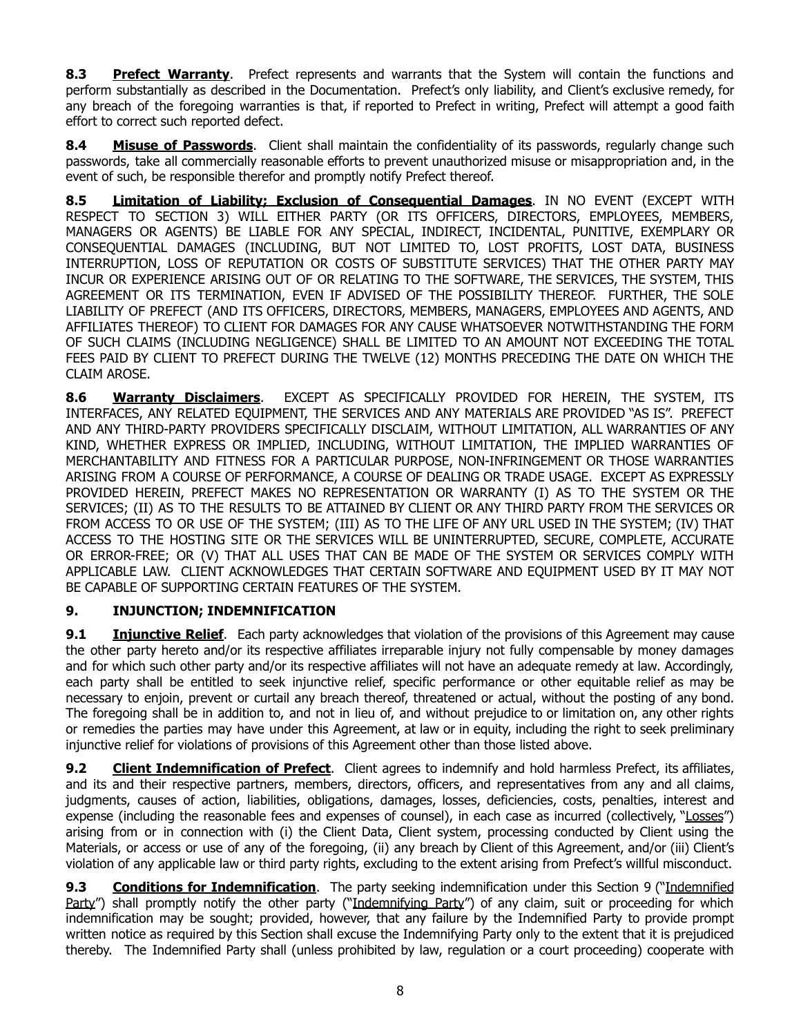**8.3 Prefect Warranty**. Prefect represents and warrants that the System will contain the functions and perform substantially as described in the Documentation. Prefect's only liability, and Client's exclusive remedy, for any breach of the foregoing warranties is that, if reported to Prefect in writing, Prefect will attempt a good faith effort to correct such reported defect.

**8.4 Misuse of Passwords**. Client shall maintain the confidentiality of its passwords, regularly change such passwords, take all commercially reasonable efforts to prevent unauthorized misuse or misappropriation and, in the event of such, be responsible therefor and promptly notify Prefect thereof.

**8.5 Limitation of Liability; Exclusion of Consequential Damages**. IN NO EVENT (EXCEPT WITH RESPECT TO SECTION 3) WILL EITHER PARTY (OR ITS OFFICERS, DIRECTORS, EMPLOYEES, MEMBERS, MANAGERS OR AGENTS) BE LIABLE FOR ANY SPECIAL, INDIRECT, INCIDENTAL, PUNITIVE, EXEMPLARY OR CONSEQUENTIAL DAMAGES (INCLUDING, BUT NOT LIMITED TO, LOST PROFITS, LOST DATA, BUSINESS INTERRUPTION, LOSS OF REPUTATION OR COSTS OF SUBSTITUTE SERVICES) THAT THE OTHER PARTY MAY INCUR OR EXPERIENCE ARISING OUT OF OR RELATING TO THE SOFTWARE, THE SERVICES, THE SYSTEM, THIS AGREEMENT OR ITS TERMINATION, EVEN IF ADVISED OF THE POSSIBILITY THEREOF. FURTHER, THE SOLE LIABILITY OF PREFECT (AND ITS OFFICERS, DIRECTORS, MEMBERS, MANAGERS, EMPLOYEES AND AGENTS, AND AFFILIATES THEREOF) TO CLIENT FOR DAMAGES FOR ANY CAUSE WHATSOEVER NOTWITHSTANDING THE FORM OF SUCH CLAIMS (INCLUDING NEGLIGENCE) SHALL BE LIMITED TO AN AMOUNT NOT EXCEEDING THE TOTAL FEES PAID BY CLIENT TO PREFECT DURING THE TWELVE (12) MONTHS PRECEDING THE DATE ON WHICH THE CLAIM AROSE.

**8.6 Warranty Disclaimers**. EXCEPT AS SPECIFICALLY PROVIDED FOR HEREIN, THE SYSTEM, ITS INTERFACES, ANY RELATED EQUIPMENT, THE SERVICES AND ANY MATERIALS ARE PROVIDED "AS IS". PREFECT AND ANY THIRD-PARTY PROVIDERS SPECIFICALLY DISCLAIM, WITHOUT LIMITATION, ALL WARRANTIES OF ANY KIND, WHETHER EXPRESS OR IMPLIED, INCLUDING, WITHOUT LIMITATION, THE IMPLIED WARRANTIES OF MERCHANTABILITY AND FITNESS FOR A PARTICULAR PURPOSE, NON-INFRINGEMENT OR THOSE WARRANTIES ARISING FROM A COURSE OF PERFORMANCE, A COURSE OF DEALING OR TRADE USAGE. EXCEPT AS EXPRESSLY PROVIDED HEREIN, PREFECT MAKES NO REPRESENTATION OR WARRANTY (I) AS TO THE SYSTEM OR THE SERVICES; (II) AS TO THE RESULTS TO BE ATTAINED BY CLIENT OR ANY THIRD PARTY FROM THE SERVICES OR FROM ACCESS TO OR USE OF THE SYSTEM; (III) AS TO THE LIFE OF ANY URL USED IN THE SYSTEM; (IV) THAT ACCESS TO THE HOSTING SITE OR THE SERVICES WILL BE UNINTERRUPTED, SECURE, COMPLETE, ACCURATE OR ERROR-FREE; OR (V) THAT ALL USES THAT CAN BE MADE OF THE SYSTEM OR SERVICES COMPLY WITH APPLICABLE LAW. CLIENT ACKNOWLEDGES THAT CERTAIN SOFTWARE AND EQUIPMENT USED BY IT MAY NOT BE CAPABLE OF SUPPORTING CERTAIN FEATURES OF THE SYSTEM.

## **9. INJUNCTION; INDEMNIFICATION**

**9.1 Injunctive Relief**. Each party acknowledges that violation of the provisions of this Agreement may cause the other party hereto and/or its respective affiliates irreparable injury not fully compensable by money damages and for which such other party and/or its respective affiliates will not have an adequate remedy at law. Accordingly, each party shall be entitled to seek injunctive relief, specific performance or other equitable relief as may be necessary to enjoin, prevent or curtail any breach thereof, threatened or actual, without the posting of any bond. The foregoing shall be in addition to, and not in lieu of, and without prejudice to or limitation on, any other rights or remedies the parties may have under this Agreement, at law or in equity, including the right to seek preliminary injunctive relief for violations of provisions of this Agreement other than those listed above.

**9.2 Client Indemnification of Prefect**. Client agrees to indemnify and hold harmless Prefect, its affiliates, and its and their respective partners, members, directors, officers, and representatives from any and all claims, judgments, causes of action, liabilities, obligations, damages, losses, deficiencies, costs, penalties, interest and expense (including the reasonable fees and expenses of counsel), in each case as incurred (collectively, "Losses") arising from or in connection with (i) the Client Data, Client system, processing conducted by Client using the Materials, or access or use of any of the foregoing, (ii) any breach by Client of this Agreement, and/or (iii) Client's violation of any applicable law or third party rights, excluding to the extent arising from Prefect's willful misconduct.

**9.3 Conditions for Indemnification**. The party seeking indemnification under this Section 9 ("Indemnified Party") shall promptly notify the other party ("Indemnifying Party") of any claim, suit or proceeding for which indemnification may be sought; provided, however, that any failure by the Indemnified Party to provide prompt written notice as required by this Section shall excuse the Indemnifying Party only to the extent that it is prejudiced thereby. The Indemnified Party shall (unless prohibited by law, regulation or a court proceeding) cooperate with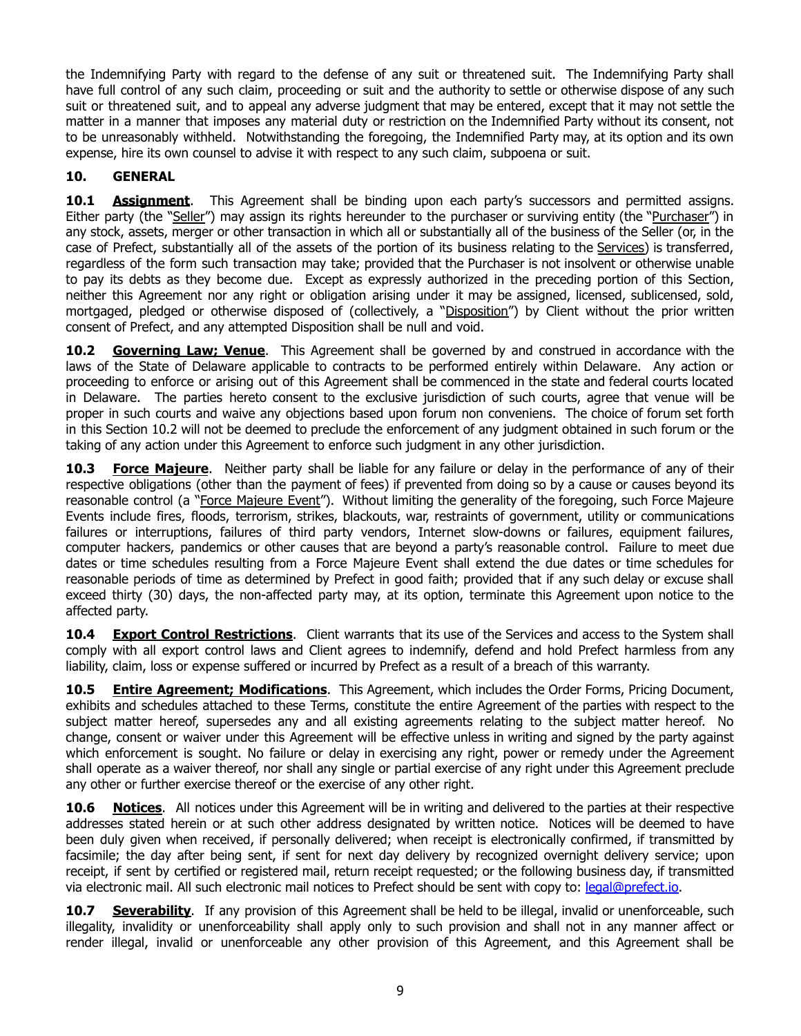the Indemnifying Party with regard to the defense of any suit or threatened suit. The Indemnifying Party shall have full control of any such claim, proceeding or suit and the authority to settle or otherwise dispose of any such suit or threatened suit, and to appeal any adverse judgment that may be entered, except that it may not settle the matter in a manner that imposes any material duty or restriction on the Indemnified Party without its consent, not to be unreasonably withheld. Notwithstanding the foregoing, the Indemnified Party may, at its option and its own expense, hire its own counsel to advise it with respect to any such claim, subpoena or suit.

## **10. GENERAL**

**10.1 <b>Assignment**. This Agreement shall be binding upon each party's successors and permitted assigns. Either party (the "Seller") may assign its rights hereunder to the purchaser or surviving entity (the "Purchaser") in any stock, assets, merger or other transaction in which all or substantially all of the business of the Seller (or, in the case of Prefect, substantially all of the assets of the portion of its business relating to the Services) is transferred, regardless of the form such transaction may take; provided that the Purchaser is not insolvent or otherwise unable to pay its debts as they become due. Except as expressly authorized in the preceding portion of this Section, neither this Agreement nor any right or obligation arising under it may be assigned, licensed, sublicensed, sold, mortgaged, pledged or otherwise disposed of (collectively, a "Disposition") by Client without the prior written consent of Prefect, and any attempted Disposition shall be null and void.

**10.2 Governing Law; Venue**. This Agreement shall be governed by and construed in accordance with the laws of the State of Delaware applicable to contracts to be performed entirely within Delaware. Any action or proceeding to enforce or arising out of this Agreement shall be commenced in the state and federal courts located in Delaware. The parties hereto consent to the exclusive jurisdiction of such courts, agree that venue will be proper in such courts and waive any objections based upon forum non conveniens. The choice of forum set forth in this Section 10.2 will not be deemed to preclude the enforcement of any judgment obtained in such forum or the taking of any action under this Agreement to enforce such judgment in any other jurisdiction.

**10.3 Force Majeure**. Neither party shall be liable for any failure or delay in the performance of any of their respective obligations (other than the payment of fees) if prevented from doing so by a cause or causes beyond its reasonable control (a "Force Majeure Event"). Without limiting the generality of the foregoing, such Force Majeure Events include fires, floods, terrorism, strikes, blackouts, war, restraints of government, utility or communications failures or interruptions, failures of third party vendors, Internet slow-downs or failures, equipment failures, computer hackers, pandemics or other causes that are beyond a party's reasonable control. Failure to meet due dates or time schedules resulting from a Force Majeure Event shall extend the due dates or time schedules for reasonable periods of time as determined by Prefect in good faith; provided that if any such delay or excuse shall exceed thirty (30) days, the non-affected party may, at its option, terminate this Agreement upon notice to the affected party.

**10.4 Export Control Restrictions**. Client warrants that its use of the Services and access to the System shall comply with all export control laws and Client agrees to indemnify, defend and hold Prefect harmless from any liability, claim, loss or expense suffered or incurred by Prefect as a result of a breach of this warranty.

**10.5 Entire Agreement; Modifications**. This Agreement, which includes the Order Forms, Pricing Document, exhibits and schedules attached to these Terms, constitute the entire Agreement of the parties with respect to the subject matter hereof, supersedes any and all existing agreements relating to the subject matter hereof. No change, consent or waiver under this Agreement will be effective unless in writing and signed by the party against which enforcement is sought. No failure or delay in exercising any right, power or remedy under the Agreement shall operate as a waiver thereof, nor shall any single or partial exercise of any right under this Agreement preclude any other or further exercise thereof or the exercise of any other right.

**10.6 Notices**. All notices under this Agreement will be in writing and delivered to the parties at their respective addresses stated herein or at such other address designated by written notice. Notices will be deemed to have been duly given when received, if personally delivered; when receipt is electronically confirmed, if transmitted by facsimile; the day after being sent, if sent for next day delivery by recognized overnight delivery service; upon receipt, if sent by certified or registered mail, return receipt requested; or the following business day, if transmitted via electronic mail. All such electronic mail notices to Prefect should be sent with copy to: [legal@prefect.io.](mailto:legal@prefect.io)

**10.7 Severability**. If any provision of this Agreement shall be held to be illegal, invalid or unenforceable, such illegality, invalidity or unenforceability shall apply only to such provision and shall not in any manner affect or render illegal, invalid or unenforceable any other provision of this Agreement, and this Agreement shall be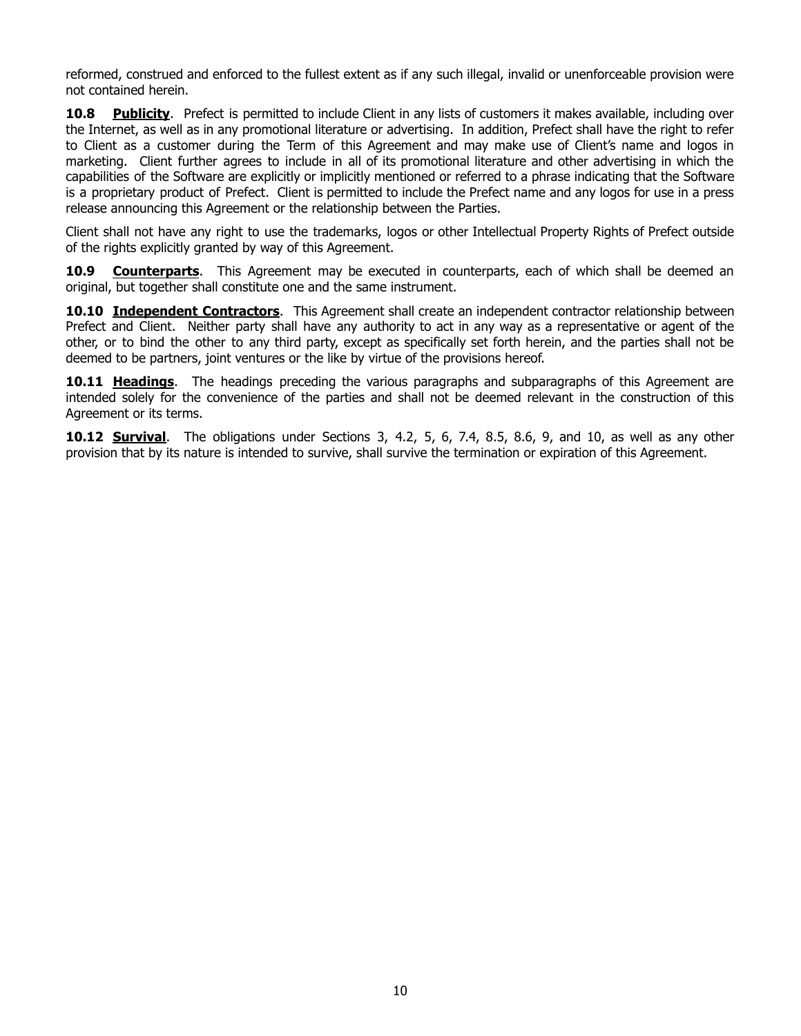reformed, construed and enforced to the fullest extent as if any such illegal, invalid or unenforceable provision were not contained herein.

**10.8 Publicity**. Prefect is permitted to include Client in any lists of customers it makes available, including over the Internet, as well as in any promotional literature or advertising. In addition, Prefect shall have the right to refer to Client as a customer during the Term of this Agreement and may make use of Client's name and logos in marketing. Client further agrees to include in all of its promotional literature and other advertising in which the capabilities of the Software are explicitly or implicitly mentioned or referred to a phrase indicating that the Software is a proprietary product of Prefect. Client is permitted to include the Prefect name and any logos for use in a press release announcing this Agreement or the relationship between the Parties.

Client shall not have any right to use the trademarks, logos or other Intellectual Property Rights of Prefect outside of the rights explicitly granted by way of this Agreement.

**10.9 Counterparts**. This Agreement may be executed in counterparts, each of which shall be deemed an original, but together shall constitute one and the same instrument.

**10.10 Independent Contractors**. This Agreement shall create an independent contractor relationship between Prefect and Client. Neither party shall have any authority to act in any way as a representative or agent of the other, or to bind the other to any third party, except as specifically set forth herein, and the parties shall not be deemed to be partners, joint ventures or the like by virtue of the provisions hereof.

**10.11 Headings**. The headings preceding the various paragraphs and subparagraphs of this Agreement are intended solely for the convenience of the parties and shall not be deemed relevant in the construction of this Agreement or its terms.

**10.12 Survival**. The obligations under Sections 3, 4.2, 5, 6, 7.4, 8.5, 8.6, 9, and 10, as well as any other provision that by its nature is intended to survive, shall survive the termination or expiration of this Agreement.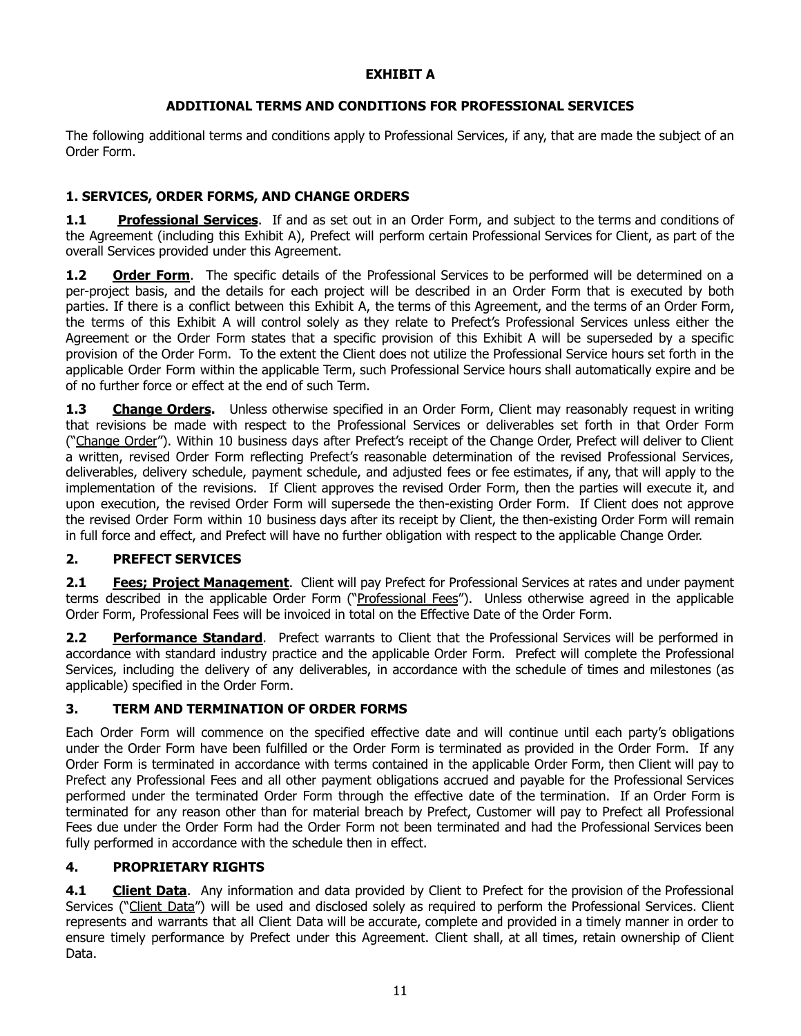#### **EXHIBIT A**

#### **ADDITIONAL TERMS AND CONDITIONS FOR PROFESSIONAL SERVICES**

The following additional terms and conditions apply to Professional Services, if any, that are made the subject of an Order Form.

## **1. SERVICES, ORDER FORMS, AND CHANGE ORDERS**

**1.1 Professional Services**. If and as set out in an Order Form, and subject to the terms and conditions of the Agreement (including this Exhibit A), Prefect will perform certain Professional Services for Client, as part of the overall Services provided under this Agreement.

**1.2 Order Form**. The specific details of the Professional Services to be performed will be determined on a per-project basis, and the details for each project will be described in an Order Form that is executed by both parties. If there is a conflict between this Exhibit A, the terms of this Agreement, and the terms of an Order Form, the terms of this Exhibit A will control solely as they relate to Prefect's Professional Services unless either the Agreement or the Order Form states that a specific provision of this Exhibit A will be superseded by a specific provision of the Order Form. To the extent the Client does not utilize the Professional Service hours set forth in the applicable Order Form within the applicable Term, such Professional Service hours shall automatically expire and be of no further force or effect at the end of such Term.

**1.3** Change Orders. Unless otherwise specified in an Order Form, Client may reasonably request in writing that revisions be made with respect to the Professional Services or deliverables set forth in that Order Form ("Change Order"). Within 10 business days after Prefect's receipt of the Change Order, Prefect will deliver to Client a written, revised Order Form reflecting Prefect's reasonable determination of the revised Professional Services, deliverables, delivery schedule, payment schedule, and adjusted fees or fee estimates, if any, that will apply to the implementation of the revisions. If Client approves the revised Order Form, then the parties will execute it, and upon execution, the revised Order Form will supersede the then-existing Order Form. If Client does not approve the revised Order Form within 10 business days after its receipt by Client, the then-existing Order Form will remain in full force and effect, and Prefect will have no further obligation with respect to the applicable Change Order.

## **2. PREFECT SERVICES**

**2.1 Fees; Project Management**. Client will pay Prefect for Professional Services at rates and under payment terms described in the applicable Order Form ("Professional Fees"). Unless otherwise agreed in the applicable Order Form, Professional Fees will be invoiced in total on the Effective Date of the Order Form.

**2.2 Performance Standard**. Prefect warrants to Client that the Professional Services will be performed in accordance with standard industry practice and the applicable Order Form. Prefect will complete the Professional Services, including the delivery of any deliverables, in accordance with the schedule of times and milestones (as applicable) specified in the Order Form.

## **3. TERM AND TERMINATION OF ORDER FORMS**

Each Order Form will commence on the specified effective date and will continue until each party's obligations under the Order Form have been fulfilled or the Order Form is terminated as provided in the Order Form. If any Order Form is terminated in accordance with terms contained in the applicable Order Form, then Client will pay to Prefect any Professional Fees and all other payment obligations accrued and payable for the Professional Services performed under the terminated Order Form through the effective date of the termination. If an Order Form is terminated for any reason other than for material breach by Prefect, Customer will pay to Prefect all Professional Fees due under the Order Form had the Order Form not been terminated and had the Professional Services been fully performed in accordance with the schedule then in effect.

## **4. PROPRIETARY RIGHTS**

**4.1 Client Data**. Any information and data provided by Client to Prefect for the provision of the Professional Services ("Client Data") will be used and disclosed solely as required to perform the Professional Services. Client represents and warrants that all Client Data will be accurate, complete and provided in a timely manner in order to ensure timely performance by Prefect under this Agreement. Client shall, at all times, retain ownership of Client Data.